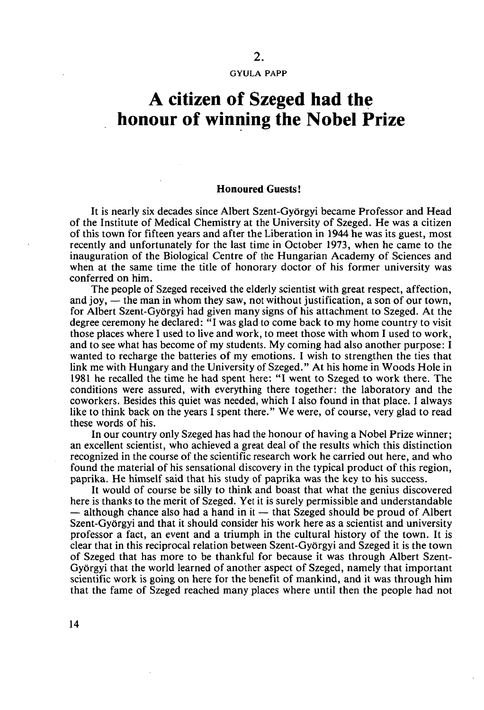GYULA PAPP

## **A citizen of Szeged had the honour of winning the Nobel Prize**

## **Honoured Guests!**

It is nearly six decades since Albert Szent-Györgyi became Professor and Head of the Institute of Medical Chemistry at the University of Szeged. He was a citizen of this town for fifteen years and after the Liberation in 1944 he was its guest, most recently and unfortunately for the last time in October 1973, when he came to the inauguration of the Biological Centre of the Hungarian Academy of Sciences and when at the same time the title of honorary doctor of his former university was conferred on him.

The people of Szeged received the elderly scientist with great respect, affection, and joy, — the man in whom they saw, not without justification, a son of our town, for Albert Szent-Györgyi had given many signs of his attachment to Szeged. At the degree ceremony he declared: "I was glad to come back to my home country to visit those places where I used to live and work, to meet those with whom I used to work, and to see what has become of my students. My coming had also another purpose: I wanted to recharge the batteries of my emotions. I wish to strengthen the ties that link me with Hungary and the University of Szeged." At his home in Woods Hole in 1981 he recalled the time he had spent here: "I went to Szeged to work there. The conditions were assured, with everything there together: the laboratory and the coworkers. Besides this quiet was needed, which I also found in that place. I always like to think back on the years I spent there." We were, of course, very glad to read these words of his.

In our country only Szeged has had the honour of having a Nobel Prize winner; an excellent scientist, who achieved a great deal of the results which this distinction recognized in the course of the scientific research work he carried out here, and who found the material of his sensational discovery in the typical product of this region, paprika. He himself said that his study of paprika was the key to his success.

It would of course be silly to think and boast that what the genius discovered here is thanks to the merit of Szeged. Yet it is surely permissible and understandable  $-$  although chance also had a hand in it  $-$  that Szeged should be proud of Albert Szent-Györgyi and that it should consider his work here as a scientist and university professor a fact, an event and a triumph in the cultural history of the town. It is clear that in this reciprocal relation between Szent-Györgyi and Szeged it is the town of Szeged that has more to be thankful for because it was through Albert Szent-Györgyi that the world learned of another aspect of Szeged, namely that important scientific work is going on here for the benefit of mankind, and it was through him that the fame of Szeged reached many places where until then the people had not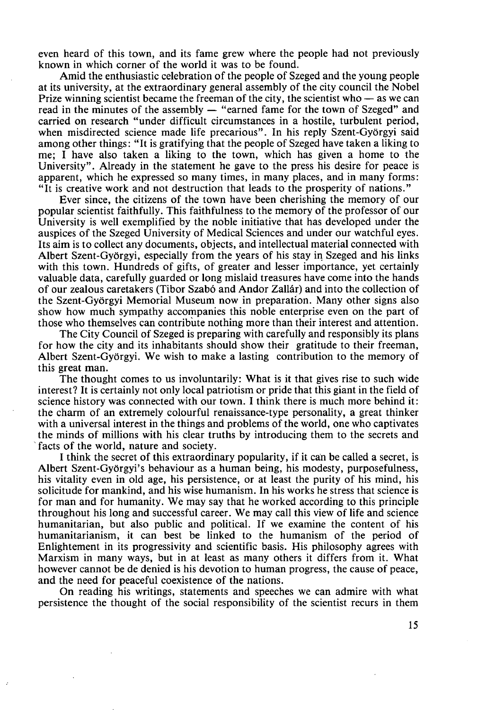even heard of this town, and its fame grew where the people had not previously known in which corner of the world it was to be found.

Amid the enthusiastic celebration of the people of Szeged and the young people at its university, at the extraordinary general assembly of the city council the Nobel Prize winning scientist became the freeman of the city, the scientist who — as we can read in the minutes of the assembly — "earned fame for the town of Szeged" and carried on research "under difficult circumstances in a hostile, turbulent period, when misdirected science made life precarious". In his reply Szent-Györgyi said among other things: "It is gratifying that the people of Szeged have taken a liking to me; I have also taken a liking to the town, which has given a home to the University". Already in the statement he gave to the press his desire for peace is apparent, which he expressed so many times, in many places, and in many forms: "It is creative work and not destruction that leads to the prosperity of nations."

Ever since, the citizens of the town have been cherishing the memory of our popular scientist faithfully. This faithfulness to the memory of the professor of our University is well exemplified by the noble initiative that has developed under the auspices of the Szeged University of Medical Sciences and under our watchful eyes. Its aim is to collect any documents, objects, and intellectual material connected with Albert Szent-Györgyi, especially from the years of his stay in Szeged and his links with this town. Hundreds of gifts, of greater and lesser importance, yet certainly valuable data, carefully guarded or long mislaid treasures have come into the hands of our zealous caretakers (Tibor Szabó and Andor Zallár) and into the collection of the Szent-Györgyi Memorial Museum now in preparation. Many other signs also show how much sympathy accompanies this noble enterprise even on the part of those who themselves can contribute nothing more than their interest and attention.

The City Council of Szeged is preparing with carefully and responsibly its plans for how the city and its inhabitants should show their gratitude to their freeman, Albert Szent-Györgyi. We wish to make a lasting contribution to the memory of this great man.

The thought comes to us involuntarily: What is it that gives rise to such wide interest? It is certainly not only local patriotism or pride that this giant in the field of science history was connected with our town. I think there is much more behind it: the charm of an extremely colourful renaissance-type personality, a great thinker with a universal interest in the things and problems of the world, one who captivates the minds of millions with his clear truths by introducing them to the secrets and facts of the world, nature and society.

I think the secret of this extraordinary popularity, if it can be called a secret, is Albert Szent-Györgyi's behaviour as a human being, his modesty, purposefulness, his vitality even in old age, his persistence, or at least the purity of his mind, his solicitude for mankind, and his wise humanism. In his works he stress that science is for man and for humanity. We may say that he worked according to this principle throughout his long and successful career. We may call this view of life and science humanitarian, but also public and political. If we examine the content of his humanitarianism, it can best be linked to the humanism of the period of Enlightement in its progressivity and scientific basis. His philosophy agrees with Marxism in many ways, but in at least as many others it differs from it. What however cannot be de denied is his devotion to human progress, the cause of peace, and the need for peaceful coexistence of the nations.

On reading his writings, statements and speeches we can admire with what persistence the thought of the social responsibility of the scientist recurs in them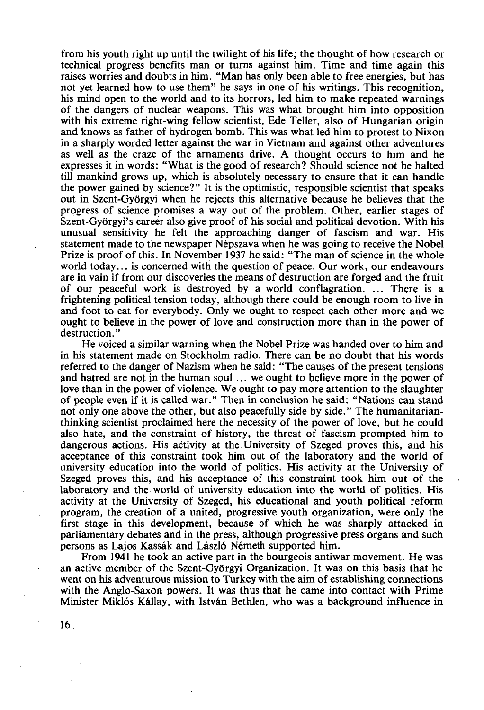from his youth right up until the twilight of his life; the thought of how research or technical progress benefits man or turns against him. Time and time again this raises worries and doubts in him. "Man has only been able to free energies, but has not yet learned how to use them" he says in one of his writings. This recognition, his mind open to the world and to its horrors, led him to make repeated warnings of the dangers of nuclear weapons. This was what brought him into opposition with his extreme right-wing fellow scientist, Ede Teller, also of Hungarian origin and knows as father of hydrogen bomb. This was what led him to protest to Nixon in a sharply worded letter against the war in Vietnam and against other adventures as well as the craze of the arnaments drive. A thought occurs to him and he expresses it in words: "What is the good of research? Should science not be halted till mankind grows up, which is absolutely necessary to ensure that it can handle the power gained by science?" It is the optimistic, responsible scientist that speaks out in Szent-Györgyi when he rejects this alternative because he believes that the progress of science promises a way out of the problem. Other, earlier stages of Szent-Györgyi's career also give proof of his social and political devotion. With his unusual sensitivity he felt the approaching danger of fascism and war. His statement made to the newspaper Népszava when he was going to receive the Nobel Prize is proof of this. In November 1937 he said: "The man of science in the whole world today... is concerned with the question of peace. Our work, our endeavours are in vain if from our discoveries the means of destruction are forged and the fruit of our peaceful work is destroyed by a world conflagration. ... There is a frightening political tension today, although there could be enough room to live in and foot to eat for everybody. Only we ought to respect each other more and we ought to believe in the power of love and construction more than in the power of destruction."

He voiced a similar warning when the Nobel Prize was handed over to him and in his statement made on Stockholm radio. There can be no doubt that his words referred to the danger of Nazism when he said: "The causes of the present tensions and hatred are not in the human soul ... we ought to believe more in the power of love than in the power of violence. We ought to pay more attention to the slaughter of people even if it is called war." Then in conclusion he said: "Nations can stand not only one above the other, but also peacefully side by side." The humanitarianthinking scientist proclaimed here the necessity of the power of love, but he could also hate, and the constraint of history, the threat of fascism prompted him to dangerous actions. His activity at the University of Szeged proves this, and his acceptance of this constraint took him out of the laboratory and the world of university education into the world of politics. His activity at the University of Szeged proves this, and his acceptance of this constraint took him out of the laboratory and the world of university education into the world of politics. His activity at the University of Szeged, his educational and youth political reform program, the creation of a united, progressive youth organization, were only the first stage in this development, because of which he was sharply attacked in parliamentary debates and in the press, although progressive press organs and such persons as Lajos Kassák and László Németh supported him.

From 1941 he took an active part in the bourgeois antiwar movement. He was an active member of the Szent-Györgyi Organization. It was on this basis that he went on his adventurous mission to Turkey with the aim of establishing connections with the Anglo-Saxon powers. It was thus that he came into contact with Prime Minister Miklós Kállay, with István Bethlen, who was a background influence in

**16.**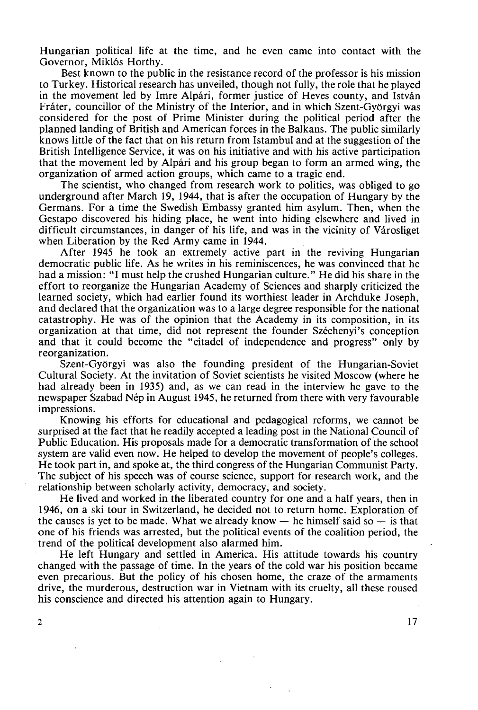Hungarian political life at the time, and he even came into contact with the Governor, Miklós Horthy.

Best known to the public in the resistance record of the professor is his mission to Turkey. Historical research has unveiled, though not fully, the role that he played in the movement led by Imre Alpári, former justice of Heves county, and István Fráter, councillor of the Ministry of the Interior, and in which Szent-Györgyi was considered for the post of Prime Minister during the political period after the planned landing of British and American forces in the Balkans. The public similarly knows little of the fact that on his return from Istambul and at the suggestion of the British Intelligence Service, it was on his initiative and with his active participation that the movement led by Alpári and his group began to form an armed wing, the organization of armed action groups, which came to a tragic end.

The scientist, who changed from research work to politics, was obliged to go underground after March 19, 1944, that is after the occupation of Hungary by the Germans. For a time the Swedish Embassy granted him asylum. Then, when the Gestapo discovered his hiding place, he went into hiding elsewhere and lived in difficult circumstances, in danger of his life, and was in the vicinity of Városliget when Liberation by the Red Army came in 1944.

After 1945 he took an extremely active part in the reviving Hungarian democratic public life. As he writes in his reminiscences, he was convinced that he had a mission: "I must help the crushed Hungarian culture." He did his share in the effort to reorganize the Hungarian Academy of Sciences and sharply criticized the learned society, which had earlier found its worthiest leader in Archduke Joseph, and declared that the organization was to a large degree responsible for the national catastrophy. He was of the opinion that the Academy in its composition, in its organization at that time, did not represent the founder Széchenyi's conception and that it could become the "citadel of independence and progress" only by reorganization.

Szent-Györgyi was also the founding president of the Hungarian-Soviet Cultural Society. At the invitation of Soviet scientists he visited Moscow (where he had already been in 1935) and, as we can read in the interview he gave to the newspaper Szabad Nép in August 1945, he returned from there with very favourable impressions.

Knowing his efforts for educational and pedagogical reforms, we cannot be surprised at the fact that he readily accepted a leading post in the National Council of Public Education. His proposals made for a democratic transformation of the school system are valid even now. He helped to develop the movement of people's colleges. He took part in, and spoke at, the third congress of the Hungarian Communist Party. The subject of his speech was of course science, support for research work, and the relationship between scholarly activity, democracy, and society.

He lived and worked in the liberated country for one and a half years, then in 1946, on a ski tour in Switzerland, he decided not to return home. Exploration of the causes is yet to be made. What we already know  $-$  he himself said so  $-$  is that one of his friends was arrested, but the political events of the coalition period, the trend of the political development also alarmed him.

He left Hungary and settled in America. His attitude towards his country changed with the passage of time. In the years of the cold war his position became even precarious. But the policy of his chosen home, the craze of the armaments drive, the murderous, destruction war in Vietnam with its cruelty, all these roused his conscience and directed his attention again to Hungary.

 $\mathbf 2$ 

**17**